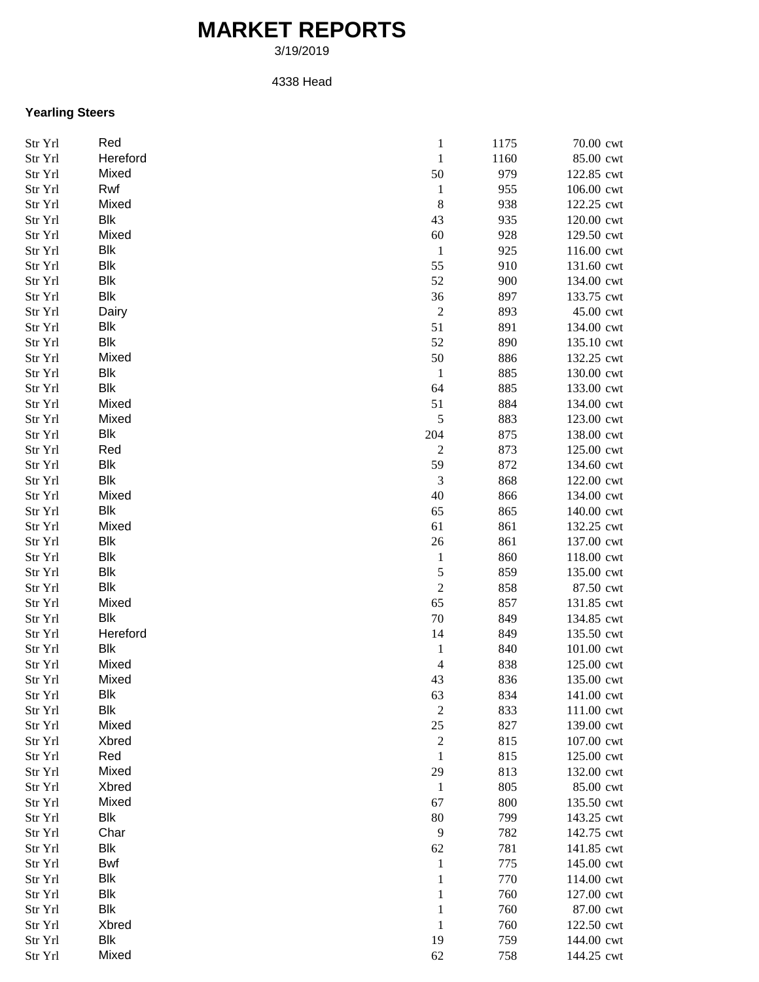## **MARKET REPORTS**

3/19/2019

## 4338 Head

## **Yearling Steers**

| Str Yrl | Red        | $\mathbf{1}$                | 1175 | 70.00 cwt  |
|---------|------------|-----------------------------|------|------------|
| Str Yrl | Hereford   | $\mathbf{1}$                | 1160 | 85.00 cwt  |
| Str Yrl | Mixed      | 50                          | 979  | 122.85 cwt |
| Str Yrl | Rwf        | $\mathbf{1}$                | 955  | 106.00 cwt |
| Str Yrl | Mixed      | $\,8\,$                     | 938  | 122.25 cwt |
| Str Yrl | Blk        | 43                          | 935  | 120.00 cwt |
| Str Yrl | Mixed      | 60                          | 928  | 129.50 cwt |
| Str Yrl | <b>Blk</b> | $\mathbf{1}$                | 925  | 116.00 cwt |
| Str Yrl | <b>Blk</b> | 55                          | 910  | 131.60 cwt |
| Str Yrl | <b>Blk</b> | 52                          | 900  | 134.00 cwt |
| Str Yrl | <b>Blk</b> | 36                          | 897  | 133.75 cwt |
| Str Yrl | Dairy      | $\sqrt{2}$                  | 893  | 45.00 cwt  |
| Str Yrl | Blk        | 51                          | 891  | 134.00 cwt |
| Str Yrl | Blk        | 52                          | 890  | 135.10 cwt |
| Str Yrl | Mixed      | 50                          | 886  | 132.25 cwt |
|         | <b>Blk</b> |                             | 885  | 130.00 cwt |
| Str Yrl | Blk        | $\mathbf{1}$                |      |            |
| Str Yrl |            | 64                          | 885  | 133.00 cwt |
| Str Yrl | Mixed      | 51                          | 884  | 134.00 cwt |
| Str Yrl | Mixed      | $\sqrt{5}$                  | 883  | 123.00 cwt |
| Str Yrl | Blk        | 204                         | 875  | 138.00 cwt |
| Str Yrl | Red        | $\boldsymbol{2}$            | 873  | 125.00 cwt |
| Str Yrl | Blk        | 59                          | 872  | 134.60 cwt |
| Str Yrl | Blk        | $\ensuremath{\mathfrak{Z}}$ | 868  | 122.00 cwt |
| Str Yrl | Mixed      | 40                          | 866  | 134.00 cwt |
| Str Yrl | <b>Blk</b> | 65                          | 865  | 140.00 cwt |
| Str Yrl | Mixed      | 61                          | 861  | 132.25 cwt |
| Str Yrl | <b>Blk</b> | $26\,$                      | 861  | 137.00 cwt |
| Str Yrl | <b>Blk</b> | $\mathbf{1}$                | 860  | 118.00 cwt |
| Str Yrl | <b>Blk</b> | $\mathfrak s$               | 859  | 135.00 cwt |
| Str Yrl | <b>Blk</b> | $\sqrt{2}$                  | 858  | 87.50 cwt  |
| Str Yrl | Mixed      | 65                          | 857  | 131.85 cwt |
| Str Yrl | <b>Blk</b> | $70\,$                      | 849  | 134.85 cwt |
| Str Yrl | Hereford   | 14                          | 849  | 135.50 cwt |
| Str Yrl | Blk        | $\mathbf{1}$                | 840  | 101.00 cwt |
| Str Yrl | Mixed      | $\overline{\mathcal{A}}$    | 838  | 125.00 cwt |
| Str Yrl | Mixed      | 43                          | 836  | 135.00 cwt |
| Str Yrl | Blk        | 63                          | 834  | 141.00 cwt |
| Str Yrl | Blk        | $\boldsymbol{2}$            | 833  | 111.00 cwt |
| Str Yrl | Mixed      | $25\,$                      | 827  | 139.00 cwt |
| Str Yrl | Xbred      | $\sqrt{2}$                  | 815  | 107.00 cwt |
| Str Yrl | Red        | $\mathbf{1}$                | 815  | 125.00 cwt |
| Str Yrl | Mixed      | 29                          | 813  | 132.00 cwt |
| Str Yrl | Xbred      | $\mathbf{1}$                | 805  | 85.00 cwt  |
| Str Yrl | Mixed      | 67                          | 800  | 135.50 cwt |
| Str Yrl | <b>Blk</b> | $80\,$                      | 799  | 143.25 cwt |
| Str Yrl | Char       | 9                           | 782  | 142.75 cwt |
| Str Yrl | Blk        | 62                          | 781  | 141.85 cwt |
|         | <b>Bwf</b> |                             | 775  |            |
| Str Yrl | <b>Blk</b> | $\mathbf{1}$                |      | 145.00 cwt |
| Str Yrl |            | $\mathbf{1}$                | 770  | 114.00 cwt |
| Str Yrl | Blk        | 1                           | 760  | 127.00 cwt |
| Str Yrl | Blk        | $\mathbf{1}$                | 760  | 87.00 cwt  |
| Str Yrl | Xbred      | 1                           | 760  | 122.50 cwt |
| Str Yrl | Blk        | 19                          | 759  | 144.00 cwt |
| Str Yrl | Mixed      | 62                          | 758  | 144.25 cwt |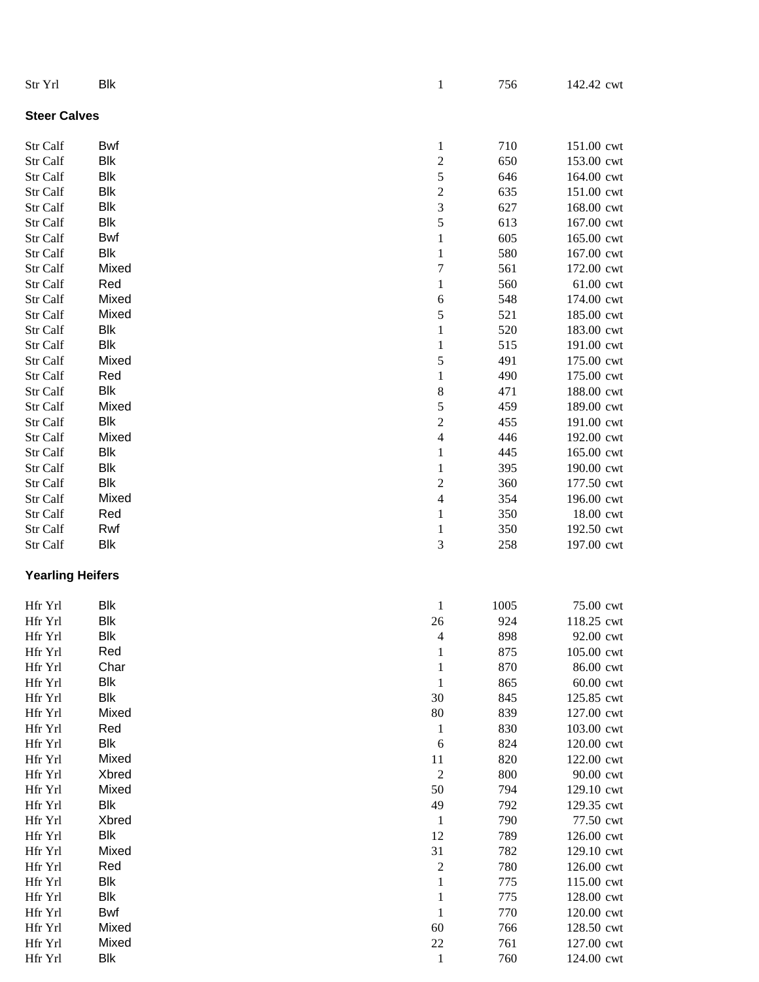| Str Yrl                 | <b>Blk</b> | $\mathbf{1}$            | 756  | 142.42 cwt |
|-------------------------|------------|-------------------------|------|------------|
| <b>Steer Calves</b>     |            |                         |      |            |
| Str Calf                | Bwf        | $\mathbf{1}$            | 710  | 151.00 cwt |
| Str Calf                | Blk        | $\overline{\mathbf{c}}$ | 650  | 153.00 cwt |
| Str Calf                | <b>Blk</b> | 5                       | 646  | 164.00 cwt |
| Str Calf                | Blk        | $\overline{\mathbf{c}}$ | 635  | 151.00 cwt |
| Str Calf                | Blk        | 3                       | 627  | 168.00 cwt |
|                         | Blk        | 5                       |      |            |
| Str Calf                |            |                         | 613  | 167.00 cwt |
| Str Calf                | Bwf        | $\,1\,$                 | 605  | 165.00 cwt |
| Str Calf                | Blk        | $\mathbf{1}$            | 580  | 167.00 cwt |
| Str Calf                | Mixed      | $\overline{7}$          | 561  | 172.00 cwt |
| Str Calf                | Red        | $\mathbf{1}$            | 560  | 61.00 cwt  |
| Str Calf                | Mixed      | 6                       | 548  | 174.00 cwt |
| Str Calf                | Mixed      | 5                       | 521  | 185.00 cwt |
| Str Calf                | Blk        | $\,1\,$                 | 520  | 183.00 cwt |
| Str Calf                | Blk        | $\mathbf{1}$            | 515  | 191.00 cwt |
| Str Calf                | Mixed      | 5                       | 491  | 175.00 cwt |
| Str Calf                | Red        | $\,1\,$                 | 490  | 175.00 cwt |
| Str Calf                | Blk        | 8                       | 471  | 188.00 cwt |
| Str Calf                | Mixed      | 5                       | 459  | 189.00 cwt |
| Str Calf                | Blk        | $\overline{c}$          | 455  | 191.00 cwt |
| Str Calf                | Mixed      | $\overline{4}$          | 446  | 192.00 cwt |
| Str Calf                | Blk        | $\mathbf 1$             | 445  | 165.00 cwt |
| Str Calf                | Blk        | $\,1\,$                 | 395  | 190.00 cwt |
| Str Calf                | Blk        | $\overline{\mathbf{c}}$ | 360  | 177.50 cwt |
| Str Calf                | Mixed      | $\overline{4}$          | 354  | 196.00 cwt |
| Str Calf                | Red        | $\mathbf{1}$            | 350  | 18.00 cwt  |
| Str Calf                | Rwf        | $\mathbf{1}$            | 350  | 192.50 cwt |
| Str Calf                | Blk        | 3                       | 258  | 197.00 cwt |
| <b>Yearling Heifers</b> |            |                         |      |            |
| Hfr Yrl                 | Blk        | $\mathbf{1}$            | 1005 | 75.00 cwt  |
| Hfr Yrl                 | Blk        | 26                      | 924  | 118.25 cwt |
| Hfr Yrl                 | Blk        | 4                       | 898  | 92.00 cwt  |
| Hfr Yrl                 | Red        | $\mathbf{1}$            | 875  | 105.00 cwt |
| Hfr Yrl                 | Char       | $\mathbf{1}$            | 870  | 86.00 cwt  |
| Hfr Yrl                 | Blk        | $\mathbf 1$             | 865  | 60.00 cwt  |
| Hfr Yrl                 | Blk        | 30                      | 845  | 125.85 cwt |
| Hfr Yrl                 | Mixed      | 80                      | 839  | 127.00 cwt |
| Hfr Yrl                 | Red        | $\mathbf{1}$            | 830  | 103.00 cwt |
| Hfr Yrl                 | Blk        | 6                       | 824  | 120.00 cwt |
| Hfr Yrl                 | Mixed      | 11                      | 820  | 122.00 cwt |
| Hfr Yrl                 | Xbred      | $\sqrt{2}$              | 800  | 90.00 cwt  |
| Hfr Yrl                 | Mixed      | 50                      | 794  | 129.10 cwt |
| Hfr Yrl                 | Blk        | 49                      | 792  | 129.35 cwt |
| Hfr Yrl                 | Xbred      | $\mathbf{1}$            | 790  | 77.50 cwt  |
| Hfr Yrl                 | Blk        | 12                      | 789  | 126.00 cwt |
| Hfr Yrl                 | Mixed      | 31                      | 782  | 129.10 cwt |
| Hfr Yrl                 | Red        | $\boldsymbol{2}$        | 780  | 126.00 cwt |
| Hfr Yrl                 | Blk        | $\mathbf 1$             | 775  | 115.00 cwt |
| Hfr Yrl                 | Blk        | $\mathbf{1}$            | 775  | 128.00 cwt |
| Hfr Yrl                 | Bwf        | $\,1\,$                 | 770  | 120.00 cwt |
| Hfr Yrl                 | Mixed      | 60                      | 766  | 128.50 cwt |
| Hfr Yrl                 | Mixed      | 22                      | 761  | 127.00 cwt |
| Hfr Yrl                 | <b>Blk</b> | $\mathbf{1}$            | 760  | 124.00 cwt |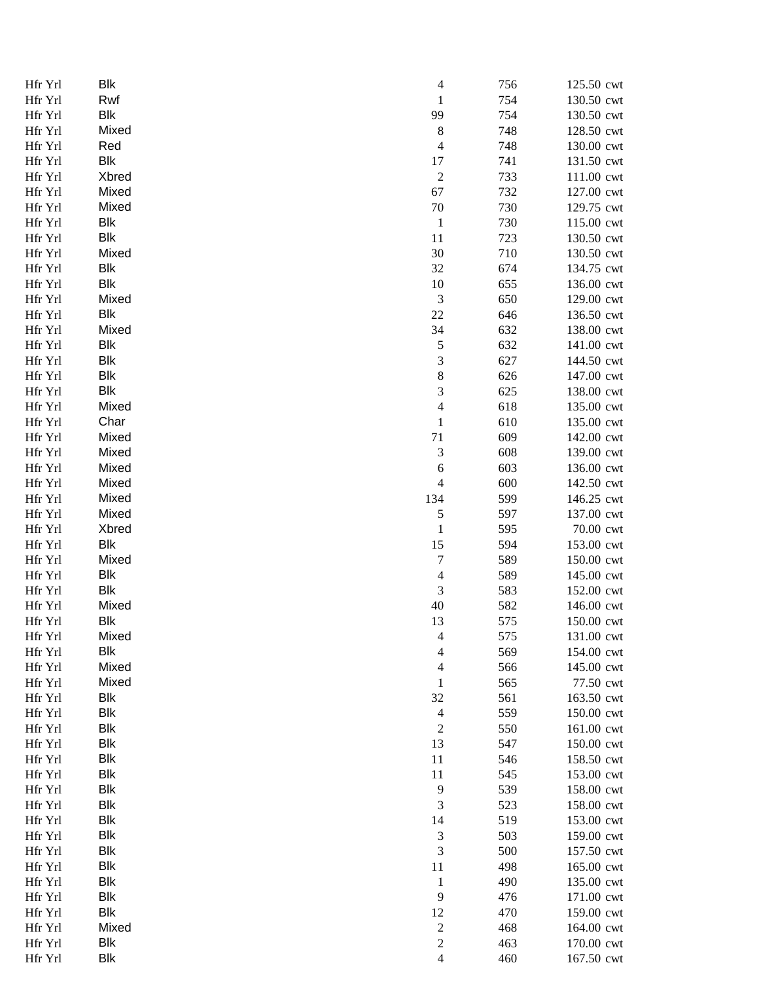| Hfr Yrl | Blk        | 4                           | 756 | 125.50 cwt |
|---------|------------|-----------------------------|-----|------------|
| Hfr Yrl | Rwf        | $\mathbf 1$                 | 754 | 130.50 cwt |
| Hfr Yrl | Blk        | 99                          | 754 | 130.50 cwt |
| Hfr Yrl | Mixed      | $\,$ $\,$                   | 748 | 128.50 cwt |
| Hfr Yrl | Red        | $\overline{4}$              | 748 | 130.00 cwt |
| Hfr Yrl | <b>Blk</b> | 17                          | 741 | 131.50 cwt |
| Hfr Yrl | Xbred      | $\sqrt{2}$                  | 733 | 111.00 cwt |
| Hfr Yrl | Mixed      | 67                          | 732 | 127.00 cwt |
|         |            |                             |     |            |
| Hfr Yrl | Mixed      | 70                          | 730 | 129.75 cwt |
| Hfr Yrl | Blk        | $\mathbf{1}$                | 730 | 115.00 cwt |
| Hfr Yrl | <b>Blk</b> | 11                          | 723 | 130.50 cwt |
| Hfr Yrl | Mixed      | 30                          | 710 | 130.50 cwt |
| Hfr Yrl | Blk        | 32                          | 674 | 134.75 cwt |
| Hfr Yrl | <b>Blk</b> | 10                          | 655 | 136.00 cwt |
| Hfr Yrl | Mixed      | $\ensuremath{\mathfrak{Z}}$ | 650 | 129.00 cwt |
| Hfr Yrl | Blk        | $22\,$                      | 646 | 136.50 cwt |
| Hfr Yrl | Mixed      | 34                          | 632 | 138.00 cwt |
| Hfr Yrl | Blk        | $\sqrt{5}$                  | 632 | 141.00 cwt |
| Hfr Yrl | <b>Blk</b> | 3                           | 627 | 144.50 cwt |
| Hfr Yrl | Blk        | 8                           | 626 | 147.00 cwt |
| Hfr Yrl | <b>Blk</b> | 3                           | 625 | 138.00 cwt |
| Hfr Yrl | Mixed      | $\overline{4}$              | 618 | 135.00 cwt |
| Hfr Yrl | Char       | $\,1\,$                     | 610 | 135.00 cwt |
| Hfr Yrl | Mixed      | 71                          | 609 | 142.00 cwt |
|         | Mixed      |                             |     |            |
| Hfr Yrl |            | 3                           | 608 | 139.00 cwt |
| Hfr Yrl | Mixed      | $\boldsymbol{6}$            | 603 | 136.00 cwt |
| Hfr Yrl | Mixed      | $\overline{4}$              | 600 | 142.50 cwt |
| Hfr Yrl | Mixed      | 134                         | 599 | 146.25 cwt |
| Hfr Yrl | Mixed      | $\sqrt{5}$                  | 597 | 137.00 cwt |
| Hfr Yrl | Xbred      | $\mathbf{1}$                | 595 | 70.00 cwt  |
| Hfr Yrl | Blk        | 15                          | 594 | 153.00 cwt |
| Hfr Yrl | Mixed      | $\overline{7}$              | 589 | 150.00 cwt |
| Hfr Yrl | Blk        | $\overline{\mathcal{L}}$    | 589 | 145.00 cwt |
| Hfr Yrl | <b>Blk</b> | 3                           | 583 | 152.00 cwt |
| Hfr Yrl | Mixed      | 40                          | 582 | 146.00 cwt |
| Hfr Yrl | Blk        | 13                          | 575 | 150.00 cwt |
| Hfr Yrl | Mixed      | 4                           | 575 | 131.00 cwt |
| Hfr Yrl | Blk        | 4                           | 569 | 154.00 cwt |
| Hfr Yrl | Mixed      | 4                           | 566 | 145.00 cwt |
| Hfr Yrl | Mixed      | $\mathbf{1}$                | 565 | 77.50 cwt  |
| Hfr Yrl | Blk        | 32                          | 561 | 163.50 cwt |
| Hfr Yrl | Blk        | $\overline{4}$              | 559 | 150.00 cwt |
| Hfr Yrl | Blk        | $\overline{c}$              | 550 | 161.00 cwt |
| Hfr Yrl | <b>Blk</b> | 13                          | 547 | 150.00 cwt |
| Hfr Yrl | <b>Blk</b> | 11                          | 546 | 158.50 cwt |
|         |            |                             |     |            |
| Hfr Yrl | <b>Blk</b> | 11                          | 545 | 153.00 cwt |
| Hfr Yrl | Blk        | 9                           | 539 | 158.00 cwt |
| Hfr Yrl | Blk        | 3                           | 523 | 158.00 cwt |
| Hfr Yrl | <b>Blk</b> | 14                          | 519 | 153.00 cwt |
| Hfr Yrl | <b>Blk</b> | $\ensuremath{\mathfrak{Z}}$ | 503 | 159.00 cwt |
| Hfr Yrl | Blk        | 3                           | 500 | 157.50 cwt |
| Hfr Yrl | <b>Blk</b> | 11                          | 498 | 165.00 cwt |
| Hfr Yrl | <b>Blk</b> | $\mathbf{1}$                | 490 | 135.00 cwt |
| Hfr Yrl | <b>Blk</b> | 9                           | 476 | 171.00 cwt |
| Hfr Yrl | <b>Blk</b> | 12                          | 470 | 159.00 cwt |
| Hfr Yrl | Mixed      | $\overline{\mathbf{c}}$     | 468 | 164.00 cwt |
| Hfr Yrl | Blk        | $\overline{c}$              | 463 | 170.00 cwt |
| Hfr Yrl | Blk        | 4                           | 460 | 167.50 cwt |
|         |            |                             |     |            |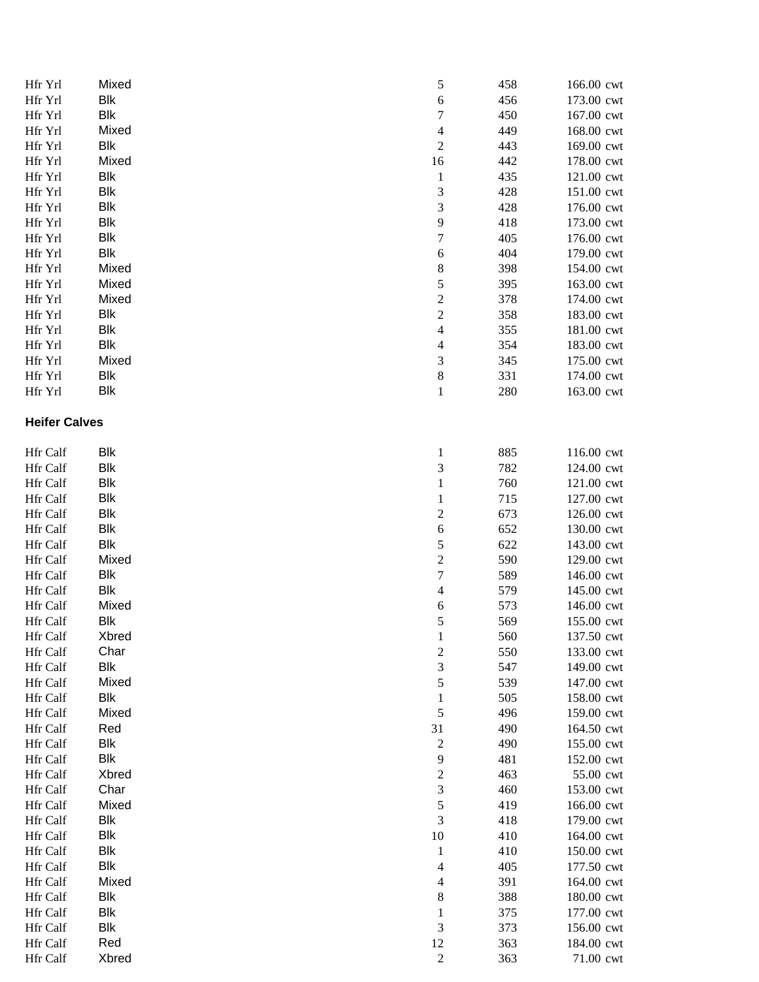| Hfr Yrl              | Mixed      | $\sqrt{5}$                  | 458 | 166.00 cwt |
|----------------------|------------|-----------------------------|-----|------------|
| Hfr Yrl              | Blk        | $\sqrt{6}$                  | 456 | 173.00 cwt |
| Hfr Yrl              | <b>Blk</b> | $\boldsymbol{7}$            | 450 | 167.00 cwt |
| Hfr Yrl              | Mixed      | $\overline{4}$              | 449 | 168.00 cwt |
| Hfr Yrl              | Blk        | $\sqrt{2}$                  | 443 | 169.00 cwt |
| Hfr Yrl              | Mixed      | 16                          | 442 | 178.00 cwt |
| Hfr Yrl              | Blk        | $\mathbf{1}$                | 435 | 121.00 cwt |
| Hfr Yrl              | Blk        | 3                           | 428 | 151.00 cwt |
| Hfr Yrl              | Blk        | 3                           | 428 | 176.00 cwt |
| Hfr Yrl              | <b>Blk</b> | $\mathbf{9}$                | 418 | 173.00 cwt |
| Hfr Yrl              | <b>Blk</b> | $\overline{7}$              | 405 | 176.00 cwt |
| Hfr Yrl              | Blk        | $\sqrt{6}$                  | 404 | 179.00 cwt |
| Hfr Yrl              | Mixed      | 8                           | 398 | 154.00 cwt |
| Hfr Yrl              | Mixed      | 5                           | 395 | 163.00 cwt |
| Hfr Yrl              | Mixed      | $\overline{c}$              | 378 | 174.00 cwt |
| Hfr Yrl              | Blk        | $\overline{c}$              | 358 | 183.00 cwt |
| Hfr Yrl              | Blk        | $\overline{\mathbf{4}}$     | 355 | 181.00 cwt |
| Hfr Yrl              | <b>Blk</b> | $\overline{4}$              | 354 | 183.00 cwt |
| Hfr Yrl              | Mixed      | 3                           | 345 | 175.00 cwt |
| Hfr Yrl              | <b>Blk</b> | $\,8\,$                     | 331 | 174.00 cwt |
| Hfr Yrl              | <b>Blk</b> | $\mathbf{1}$                | 280 | 163.00 cwt |
| <b>Heifer Calves</b> |            |                             |     |            |
|                      |            |                             |     |            |
| Hfr Calf             | Blk        | $\mathbf{1}$                | 885 | 116.00 cwt |
| Hfr Calf             | <b>Blk</b> | 3                           | 782 | 124.00 cwt |
| Hfr Calf             | <b>Blk</b> | $\mathbf{1}$                | 760 | 121.00 cwt |
| Hfr Calf             | <b>Blk</b> | $\mathbf{1}$                | 715 | 127.00 cwt |
| <b>Hfr</b> Calf      | Blk        | $\sqrt{2}$                  | 673 | 126.00 cwt |
| Hfr Calf             | Blk        | $\sqrt{6}$                  | 652 | 130.00 cwt |
| Hfr Calf             | <b>Blk</b> | 5                           | 622 | 143.00 cwt |
| Hfr Calf             | Mixed      | $\overline{c}$              | 590 | 129.00 cwt |
| Hfr Calf             | Blk        | $\boldsymbol{7}$            | 589 | 146.00 cwt |
| Hfr Calf             | Blk        | $\overline{4}$              | 579 | 145.00 cwt |
| Hfr Calf             | Mixed      | $\sqrt{6}$                  | 573 | 146.00 cwt |
| Hfr Calf             | Blk        | 5                           | 569 | 155.00 cwt |
| Hfr Calf             | Xbred      | 1                           | 560 | 137.50 cwt |
| Hfr Calf             | Char       | $\frac{2}{3}$               | 550 | 133.00 cwt |
| Hfr Calf             | Blk        |                             | 547 | 149.00 cwt |
| Hfr Calf             | Mixed      | $\sqrt{5}$                  | 539 | 147.00 cwt |
| Hfr Calf             | <b>Blk</b> | $\mathbf{1}$                | 505 | 158.00 cwt |
| Hfr Calf             | Mixed      | $\sqrt{5}$                  | 496 | 159.00 cwt |
| Hfr Calf             | Red        | 31                          | 490 | 164.50 cwt |
| Hfr Calf             | Blk        | $\boldsymbol{2}$            | 490 | 155.00 cwt |
| <b>Hfr</b> Calf      | <b>Blk</b> | 9                           | 481 | 152.00 cwt |
| Hfr Calf             | Xbred      | $\overline{\mathbf{c}}$     | 463 | 55.00 cwt  |
| Hfr Calf             | Char       | 3                           | 460 | 153.00 cwt |
| Hfr Calf             | Mixed      | 5                           | 419 | 166.00 cwt |
| Hfr Calf             | Blk        | $\ensuremath{\mathfrak{Z}}$ | 418 | 179.00 cwt |
| Hfr Calf             | Blk        | 10                          | 410 | 164.00 cwt |
| Hfr Calf             | Blk        | $\mathbf{1}$                | 410 | 150.00 cwt |
| Hfr Calf             | Blk        | $\overline{4}$              | 405 | 177.50 cwt |
| Hfr Calf             | Mixed      | 4                           | 391 | 164.00 cwt |
| Hfr Calf             | Blk        | $\,$ 8 $\,$                 | 388 | 180.00 cwt |
| Hfr Calf             | <b>Blk</b> | $\mathbf 1$                 | 375 | 177.00 cwt |
| Hfr Calf             | Blk        | $\mathfrak{Z}$              | 373 | 156.00 cwt |
| Hfr Calf             | Red        | 12                          | 363 | 184.00 cwt |
| Hfr Calf             | Xbred      | $\overline{c}$              | 363 | 71.00 cwt  |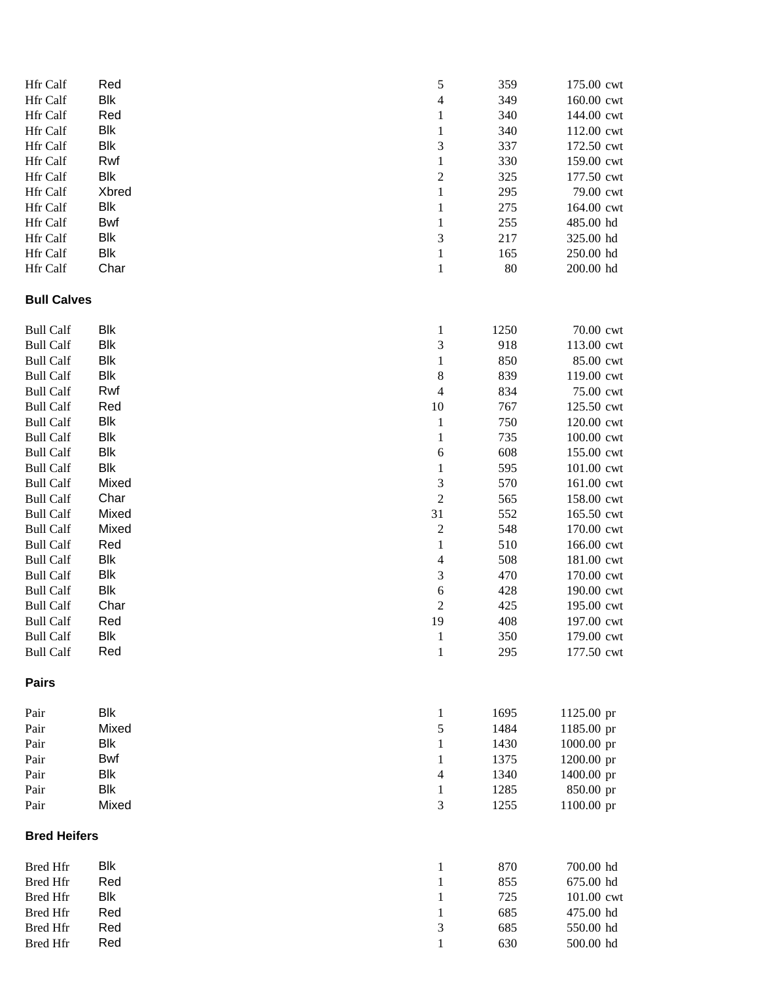| Hfr Calf            | Red   | 5                        | 359  | 175.00 cwt              |
|---------------------|-------|--------------------------|------|-------------------------|
| Hfr Calf            | Blk   | $\overline{4}$           | 349  | 160.00 cwt              |
| Hfr Calf            | Red   | $\mathbf{1}$             | 340  | 144.00 cwt              |
| Hfr Calf            | Blk   | $\mathbf{1}$             | 340  | 112.00 cwt              |
| Hfr Calf            | Blk   | 3                        | 337  | 172.50 cwt              |
| Hfr Calf            | Rwf   | $\mathbf{1}$             | 330  | 159.00 cwt              |
| Hfr Calf            | Blk   | $\overline{c}$           | 325  | 177.50 cwt              |
| Hfr Calf            | Xbred | $\mathbf{1}$             | 295  | 79.00 cwt               |
| Hfr Calf            | Blk   | $\mathbf{1}$             | 275  | 164.00 cwt              |
| Hfr Calf            | Bwf   | $\mathbf{1}$             | 255  | 485.00 hd               |
| Hfr Calf            | Blk   | 3                        | 217  | 325.00 hd               |
| Hfr Calf            | Blk   | $\,1\,$                  | 165  | 250.00 hd               |
| Hfr Calf            | Char  | $\,1\,$                  | 80   | 200.00 hd               |
| <b>Bull Calves</b>  |       |                          |      |                         |
| <b>Bull Calf</b>    | Blk   | $\mathbf{1}$             | 1250 | 70.00 cwt               |
| <b>Bull Calf</b>    | Blk   | 3                        | 918  | 113.00 cwt              |
| <b>Bull Calf</b>    | Blk   | $\mathbf{1}$             | 850  | 85.00 cwt               |
| <b>Bull Calf</b>    | Blk   |                          | 839  | 119.00 cwt              |
|                     | Rwf   | $\,8\,$                  |      |                         |
| <b>Bull Calf</b>    |       | $\overline{4}$           | 834  | 75.00 cwt<br>125.50 cwt |
| <b>Bull Calf</b>    | Red   | 10                       | 767  |                         |
| <b>Bull Calf</b>    | Blk   | $\mathbf{1}$             | 750  | 120.00 cwt              |
| <b>Bull Calf</b>    | Blk   | $\mathbf{1}$             | 735  | 100.00 cwt              |
| <b>Bull Calf</b>    | Blk   | $\boldsymbol{6}$         | 608  | 155.00 cwt              |
| <b>Bull Calf</b>    | Blk   | $\mathbf{1}$             | 595  | 101.00 cwt              |
| <b>Bull Calf</b>    | Mixed | 3                        | 570  | 161.00 cwt              |
| <b>Bull Calf</b>    | Char  | $\overline{c}$           | 565  | 158.00 cwt              |
| <b>Bull Calf</b>    | Mixed | 31                       | 552  | 165.50 cwt              |
| <b>Bull Calf</b>    | Mixed | $\boldsymbol{2}$         | 548  | 170.00 cwt              |
| <b>Bull Calf</b>    | Red   | $\,1\,$                  | 510  | 166.00 cwt              |
| <b>Bull Calf</b>    | Blk   | $\overline{\mathcal{L}}$ | 508  | 181.00 cwt              |
| <b>Bull Calf</b>    | Blk   | 3                        | 470  | 170.00 cwt              |
| <b>Bull Calf</b>    | Blk   | $\boldsymbol{6}$         | 428  | 190.00 cwt              |
| <b>Bull Calf</b>    | Char  | $\overline{c}$           | 425  | 195.00 cwt              |
| <b>Bull Calf</b>    | Red   | 19                       | 408  | 197.00 cwt              |
| <b>Bull Calf</b>    | Blk   | $\mathbf{1}$             | 350  | 179.00 cwt              |
| <b>Bull Calf</b>    | Red   | $\mathbf{1}$             | 295  | 177.50 cwt              |
| <b>Pairs</b>        |       |                          |      |                         |
| Pair                | Blk   | $\mathbf{1}$             | 1695 | 1125.00 pr              |
| Pair                | Mixed | $\sqrt{5}$               | 1484 | 1185.00 pr              |
| Pair                | Blk   | $\mathbf{1}$             | 1430 | 1000.00 pr              |
| Pair                | Bwf   | $\mathbf{1}$             | 1375 | 1200.00 pr              |
| Pair                | Blk   | $\overline{4}$           | 1340 | 1400.00 pr              |
| Pair                | Blk   | $\,1\,$                  | 1285 | 850.00 pr               |
| Pair                | Mixed | $\mathfrak{Z}$           | 1255 | 1100.00 pr              |
| <b>Bred Heifers</b> |       |                          |      |                         |
| <b>Bred Hfr</b>     | Blk   | $\mathbf{1}$             | 870  | 700.00 hd               |
| <b>Bred Hfr</b>     | Red   | $\mathbf{1}$             | 855  | 675.00 hd               |
| <b>Bred Hfr</b>     | Blk   | $\mathbf{1}$             | 725  | 101.00 cwt              |
| <b>Bred Hfr</b>     | Red   | $\mathbf{1}$             | 685  | 475.00 hd               |
| <b>Bred Hfr</b>     | Red   | $\mathfrak{Z}$           | 685  | 550.00 hd               |
| <b>Bred Hfr</b>     | Red   | $\mathbf{1}$             | 630  | 500.00 hd               |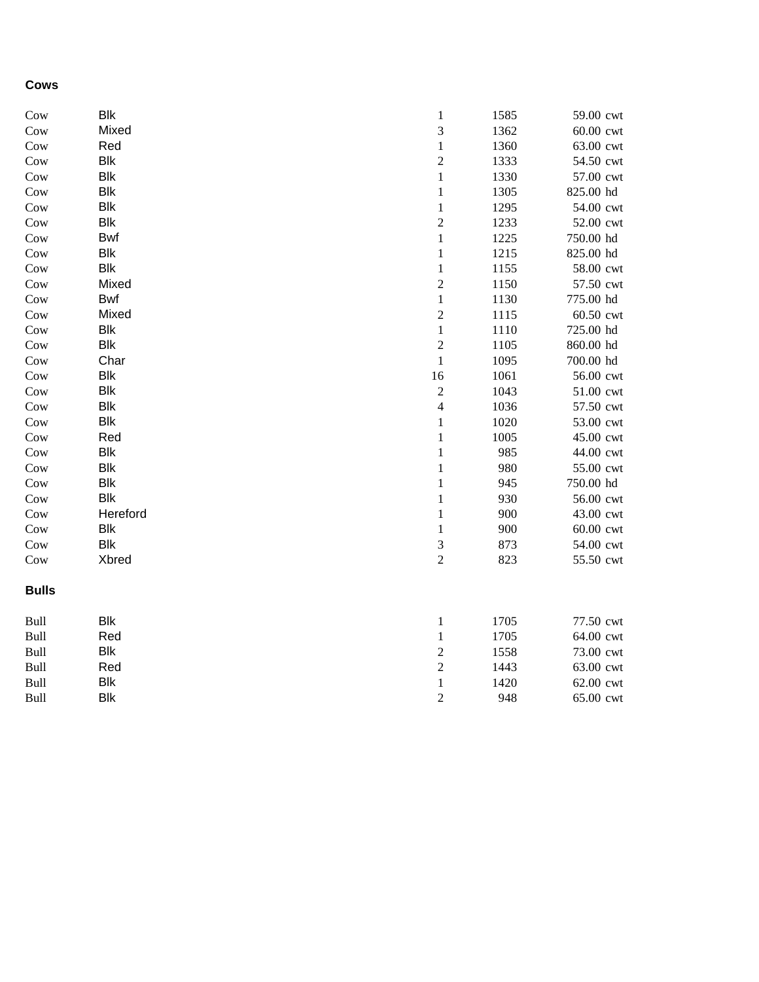## **Cows**

| Cow          | <b>Blk</b> | $\,1\,$        | 1585 | 59.00 cwt |
|--------------|------------|----------------|------|-----------|
| Cow          | Mixed      | $\sqrt{3}$     | 1362 | 60.00 cwt |
| Cow          | Red        | $\,1\,$        | 1360 | 63.00 cwt |
| Cow          | <b>Blk</b> | $\overline{c}$ | 1333 | 54.50 cwt |
| Cow          | <b>Blk</b> | $\mathbf 1$    | 1330 | 57.00 cwt |
| Cow          | <b>Blk</b> | $\,1\,$        | 1305 | 825.00 hd |
| Cow          | <b>Blk</b> | $\,1\,$        | 1295 | 54.00 cwt |
| Cow          | <b>Blk</b> | $\overline{c}$ | 1233 | 52.00 cwt |
| Cow          | <b>Bwf</b> | $\,1\,$        | 1225 | 750.00 hd |
| Cow          | <b>Blk</b> | $\,1\,$        | 1215 | 825.00 hd |
| Cow          | <b>Blk</b> | $\,1\,$        | 1155 | 58.00 cwt |
| Cow          | Mixed      | $\overline{c}$ | 1150 | 57.50 cwt |
| Cow          | <b>Bwf</b> | $\,1\,$        | 1130 | 775.00 hd |
| Cow          | Mixed      | $\overline{c}$ | 1115 | 60.50 cwt |
| Cow          | <b>Blk</b> | $\mathbf 1$    | 1110 | 725.00 hd |
| Cow          | <b>Blk</b> | $\overline{c}$ | 1105 | 860.00 hd |
| Cow          | Char       | $\mathbf{1}$   | 1095 | 700.00 hd |
| Cow          | <b>Blk</b> | 16             | 1061 | 56.00 cwt |
| Cow          | <b>Blk</b> | $\sqrt{2}$     | 1043 | 51.00 cwt |
| Cow          | <b>Blk</b> | $\overline{4}$ | 1036 | 57.50 cwt |
| Cow          | <b>Blk</b> | $\,1\,$        | 1020 | 53.00 cwt |
| Cow          | Red        | $\,1\,$        | 1005 | 45.00 cwt |
| Cow          | <b>Blk</b> | $\,1\,$        | 985  | 44.00 cwt |
| Cow          | <b>Blk</b> | $\,1\,$        | 980  | 55.00 cwt |
| Cow          | <b>Blk</b> | $\,1\,$        | 945  | 750.00 hd |
| Cow          | <b>Blk</b> | $\,1\,$        | 930  | 56.00 cwt |
| Cow          | Hereford   | $\,1\,$        | 900  | 43.00 cwt |
| Cow          | <b>Blk</b> | $\,1\,$        | 900  | 60.00 cwt |
| Cow          | <b>Blk</b> | $\mathfrak{Z}$ | 873  | 54.00 cwt |
| Cow          | Xbred      | $\sqrt{2}$     | 823  | 55.50 cwt |
| <b>Bulls</b> |            |                |      |           |
| Bull         | <b>Blk</b> | $\mathbf{1}$   | 1705 | 77.50 cwt |
| Bull         | Red        | $\,1\,$        | 1705 | 64.00 cwt |
| Bull         | <b>Blk</b> | $\sqrt{2}$     | 1558 | 73.00 cwt |
| Bull         | Red        | $\overline{c}$ | 1443 | 63.00 cwt |
| Bull         | <b>Blk</b> | $\mathbf{1}$   | 1420 | 62.00 cwt |
| Bull         | <b>Blk</b> | $\overline{2}$ | 948  | 65.00 cwt |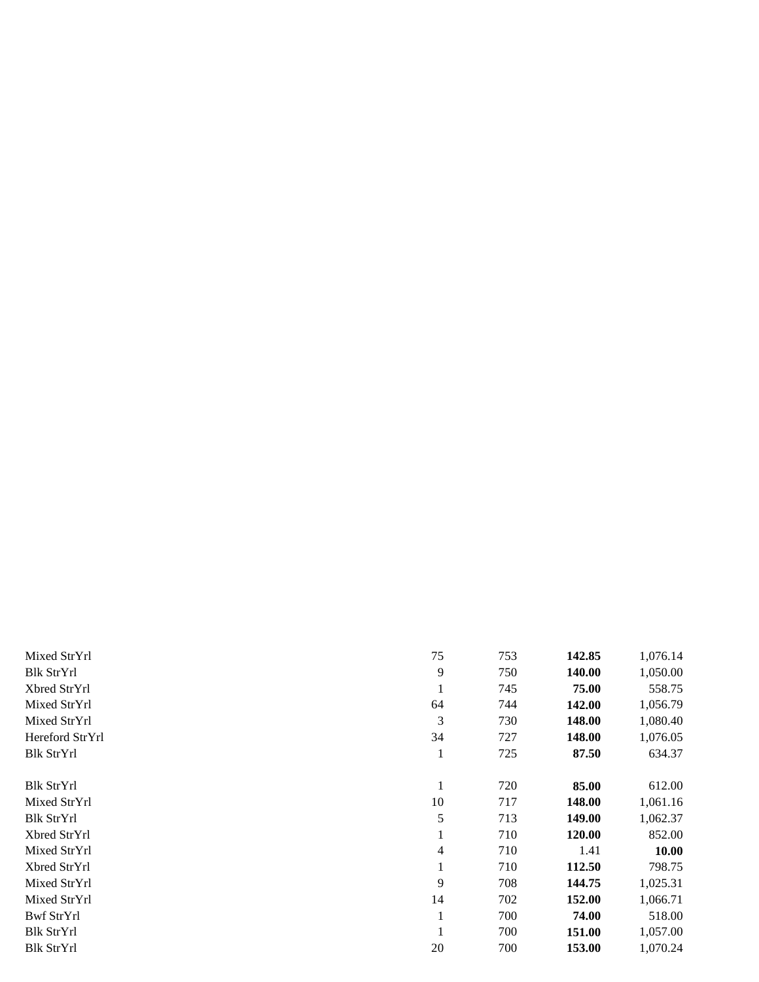| Mixed StrYrl      | 75           | 753 | 142.85 | 1,076.14 |
|-------------------|--------------|-----|--------|----------|
| <b>Blk StrYrl</b> | 9            | 750 | 140.00 | 1,050.00 |
| Xbred StrYrl      |              | 745 | 75.00  | 558.75   |
| Mixed StrYrl      | 64           | 744 | 142.00 | 1,056.79 |
| Mixed StrYrl      | 3            | 730 | 148.00 | 1,080.40 |
| Hereford StrYrl   | 34           | 727 | 148.00 | 1,076.05 |
| <b>Blk StrYrl</b> | 1            | 725 | 87.50  | 634.37   |
|                   |              |     |        |          |
| <b>Blk StrYrl</b> | 1            | 720 | 85.00  | 612.00   |
| Mixed StrYrl      | 10           | 717 | 148.00 | 1,061.16 |
| Blk StrYrl        | 5            | 713 | 149.00 | 1,062.37 |
| Xbred StrYrl      | $\mathbf{I}$ | 710 | 120.00 | 852.00   |
| Mixed StrYrl      | 4            | 710 | 1.41   | 10.00    |
| Xbred StrYrl      | 1            | 710 | 112.50 | 798.75   |
| Mixed StrYrl      | 9            | 708 | 144.75 | 1,025.31 |
| Mixed StrYrl      | 14           | 702 | 152.00 | 1,066.71 |
| Bwf StrYrl        | 1            | 700 | 74.00  | 518.00   |
| <b>Blk StrYrl</b> |              | 700 | 151.00 | 1,057.00 |
| <b>Blk StrYrl</b> | 20           | 700 | 153.00 | 1,070.24 |
|                   |              |     |        |          |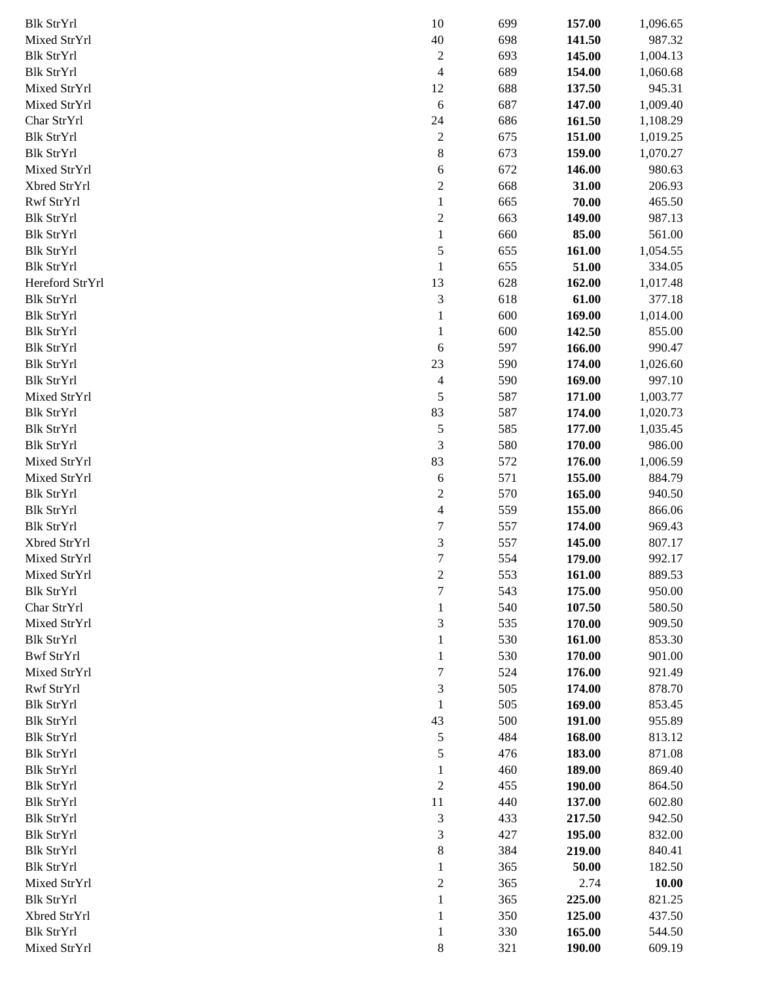| <b>Blk StrYrl</b> | 10               | 699 | 157.00 | 1,096.65 |
|-------------------|------------------|-----|--------|----------|
| Mixed StrYrl      | $40\,$           | 698 | 141.50 | 987.32   |
| <b>Blk StrYrl</b> | $\overline{c}$   | 693 | 145.00 | 1,004.13 |
| <b>Blk StrYrl</b> | $\overline{4}$   | 689 | 154.00 | 1,060.68 |
| Mixed StrYrl      | 12               | 688 | 137.50 | 945.31   |
| Mixed StrYrl      | $\boldsymbol{6}$ | 687 | 147.00 | 1,009.40 |
| Char StrYrl       | 24               | 686 | 161.50 | 1,108.29 |
| <b>Blk StrYrl</b> | $\boldsymbol{2}$ | 675 | 151.00 | 1,019.25 |
| <b>Blk StrYrl</b> | 8                | 673 | 159.00 | 1,070.27 |
| Mixed StrYrl      | 6                | 672 | 146.00 | 980.63   |
| Xbred StrYrl      | $\boldsymbol{2}$ | 668 | 31.00  | 206.93   |
| Rwf StrYrl        | $\mathbf{1}$     | 665 | 70.00  | 465.50   |
| Blk StrYrl        | $\overline{c}$   | 663 | 149.00 | 987.13   |
| <b>Blk StrYrl</b> | $\,1$            | 660 | 85.00  | 561.00   |
| <b>Blk StrYrl</b> | 5                | 655 | 161.00 | 1,054.55 |
| <b>Blk StrYrl</b> | $\,1$            | 655 | 51.00  | 334.05   |
| Hereford StrYrl   | 13               | 628 | 162.00 | 1,017.48 |
| <b>Blk StrYrl</b> | 3                | 618 | 61.00  | 377.18   |
| Blk StrYrl        | $\mathbf 1$      | 600 | 169.00 | 1,014.00 |
| <b>Blk StrYrl</b> | $\mathbf 1$      | 600 | 142.50 | 855.00   |
| <b>Blk StrYrl</b> | 6                | 597 | 166.00 | 990.47   |
| <b>Blk StrYrl</b> | 23               | 590 | 174.00 | 1,026.60 |
| <b>Blk StrYrl</b> | 4                | 590 | 169.00 | 997.10   |
| Mixed StrYrl      | 5                | 587 | 171.00 | 1,003.77 |
| <b>Blk StrYrl</b> | 83               | 587 | 174.00 | 1,020.73 |
| <b>Blk StrYrl</b> | 5                | 585 | 177.00 | 1,035.45 |
| <b>Blk StrYrl</b> | 3                | 580 | 170.00 | 986.00   |
| Mixed StrYrl      | 83               | 572 | 176.00 | 1,006.59 |
| Mixed StrYrl      | 6                | 571 | 155.00 | 884.79   |
| Blk StrYrl        | $\overline{c}$   | 570 | 165.00 | 940.50   |
| <b>Blk StrYrl</b> | 4                | 559 | 155.00 | 866.06   |
| <b>Blk StrYrl</b> | 7                | 557 | 174.00 | 969.43   |
| Xbred StrYrl      | 3                | 557 | 145.00 | 807.17   |
| Mixed StrYrl      | 7                | 554 | 179.00 | 992.17   |
| Mixed StrYrl      | $\overline{c}$   | 553 | 161.00 | 889.53   |
| <b>Blk StrYrl</b> | 7                | 543 | 175.00 | 950.00   |
| Char StrYrl       | $\mathbf 1$      | 540 | 107.50 | 580.50   |
| Mixed StrYrl      | 3                | 535 | 170.00 | 909.50   |
| <b>Blk StrYrl</b> | 1                | 530 | 161.00 | 853.30   |
| Bwf StrYrl        | $\mathbf{1}$     | 530 | 170.00 | 901.00   |
| Mixed StrYrl      | 7                | 524 | 176.00 | 921.49   |
| Rwf StrYrl        | 3                | 505 | 174.00 | 878.70   |
| Blk StrYrl        | $\mathbf{1}$     | 505 | 169.00 | 853.45   |
| <b>Blk StrYrl</b> | 43               | 500 | 191.00 | 955.89   |
| Blk StrYrl        | 5                | 484 | 168.00 | 813.12   |
| Blk StrYrl        | 5                | 476 | 183.00 | 871.08   |
| <b>Blk StrYrl</b> | $\mathbf 1$      | 460 | 189.00 | 869.40   |
| <b>Blk StrYrl</b> | $\mathbf{2}$     | 455 | 190.00 | 864.50   |
| <b>Blk StrYrl</b> | 11               | 440 | 137.00 | 602.80   |
| <b>Blk StrYrl</b> | 3                | 433 | 217.50 | 942.50   |
| <b>Blk StrYrl</b> | 3                | 427 | 195.00 | 832.00   |
| <b>Blk StrYrl</b> | 8                | 384 | 219.00 | 840.41   |
| <b>Blk StrYrl</b> | $\mathbf 1$      | 365 | 50.00  | 182.50   |
| Mixed StrYrl      | $\overline{c}$   | 365 | 2.74   | 10.00    |
| <b>Blk StrYrl</b> | $\mathbf{1}$     | 365 | 225.00 | 821.25   |
| Xbred StrYrl      | $\mathbf{1}$     | 350 | 125.00 | 437.50   |
| <b>Blk StrYrl</b> | $\mathbf{1}$     | 330 | 165.00 | 544.50   |
| Mixed StrYrl      | 8                | 321 | 190.00 | 609.19   |
|                   |                  |     |        |          |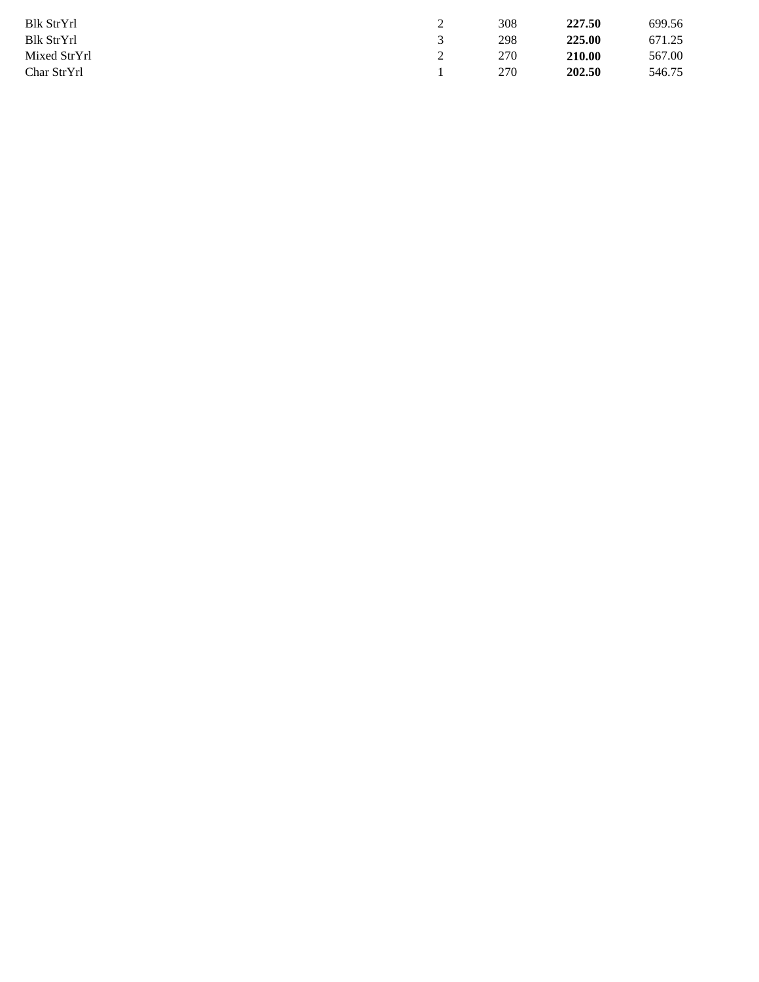| Blk StrYrl   | ∼ | 308 | 227.50 | 699.56 |
|--------------|---|-----|--------|--------|
| Blk StrYrl   |   | 298 | 225.00 | 671.25 |
| Mixed StrYrl |   | 270 | 210.00 | 567.00 |
| Char StrYrl  |   | 270 | 202.50 | 546.75 |